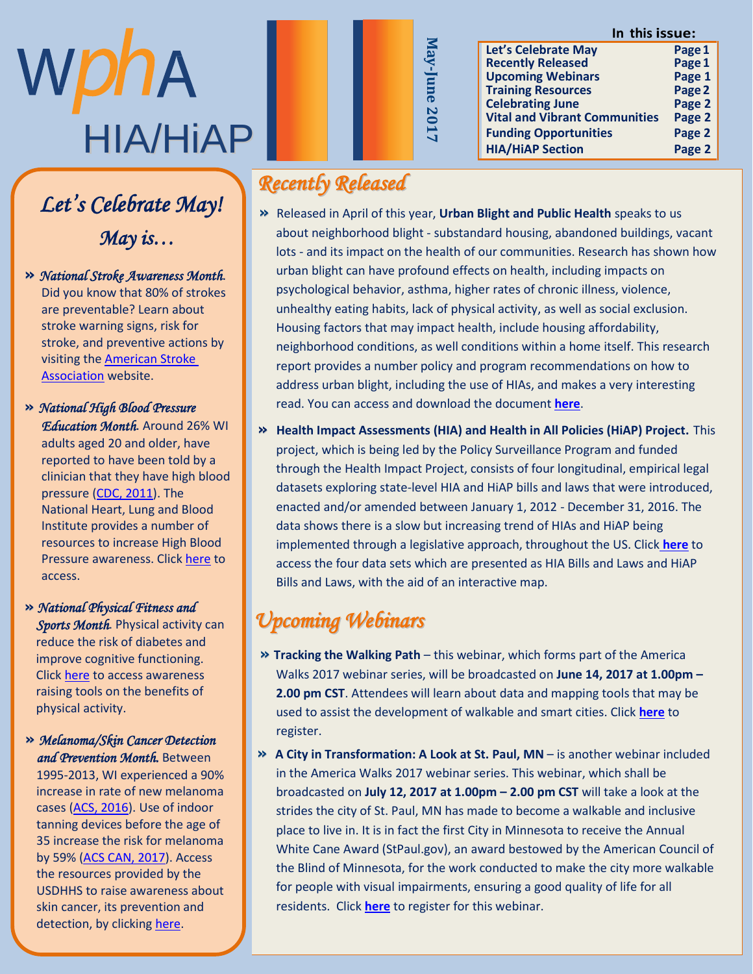# WphA HIA/HiAP

### Member Highligh Let's Celebrate May! *May is…*

 $\mathcal{S} = \mathcal{S} \cup \mathcal{S}$  and  $\mathcal{S} = \mathcal{S} \cup \mathcal{S}$ **»** National Stroke Awareness Month. Did you know that 80% of strokes are preventable? Learn about stroke warning signs, risk for stroke, and preventive actions by visiting the American Stroke Association website.

 $\gg$  National High Blood Pressure **Education Month.** Around 26% WI adults aged 20 and older, have reported to have been told by a clinician that they have high blood pressure ( $\underline{\text{CDC}}$ ,  $2011$ ). The National Heart, Lung and Blood Institute provides a number of resources to increase High Blood Pressure awareness. Click [here](https://www.nhlbi.nih.gov/health-pro/resources/heart/may-national-high-blood-pressure-education-month) to  $\frac{1}{\sqrt{1-\frac{1}{n}}}$ 

t h e C h r o n i c D i s e a s e **»** *National Physical Fitness and Sports Month.* Physical activity can reduce the risk of diabetes and readed the risk or diductes and<br>improve cognitive functioning. mprove esginave ranctioning.<br>Click <u>here</u> to access awareness enek **here** to access awareness thomy tools on the be<br>hysical activity physical activity.<br>
Physical activity.

#### M a d i s o n w e r e s h e w i l l **»** *Melanoma/Skin Cancer Detection and Prevention Month.* Between

and *a revention sholtiti*, between<br>1995-2013, WI experienced a 90% R e g i o n a l P l a n n i n g . W e increase in rate of new melanoma<br>cases (ACC, 2016), He of index cases [\(ACS, 2016\)](https://www.dhs.wisconsin.gov/publications/p01573d.pdf). Use of indoor tanning devices before the age of 35 increase the risk for melanoma by 59% (<u>ACS CAN, 2017</u>). Access<br>... the resources provided by the  $\overline{\phantom{a}}$ USDHHS to raise awareness about skin cancer, its prevention and detection, by clicking [here.](https://healthfinder.gov/NHO/MayToolkit2.aspx)

# *Recently Released*

**»** Released in April of this year, **Urban Blight and Public Health** speaks to us about neighborhood blight - substandard housing, abandoned buildings, vacant lots - and its impact on the health of our communities. Research has shown how urban blight can have profound effects on health, including impacts on psychological behavior, asthma, higher rates of chronic illness, violence, unhealthy eating habits, lack of physical activity, as well as social exclusion. Housing factors that may impact health, include housing affordability, neighborhood conditions, as well conditions within a home itself. This research report provides a number policy and program recommendations on how to address urban blight, including the use of HIAs, and makes a very interesting read. You can access and download the document **[here](http://www.urban.org/research/publication/urban-blight-and-public-health/view/full_report)**.

**May-June**

**2017**

**» Health Impact Assessments (HIA) and Health in All Policies (HiAP) Project.** This project, which is being led by the Policy Surveillance Program and funded through the Health Impact Project, consists of four longitudinal, empirical legal datasets exploring state-level HIA and HiAP bills and laws that were introduced, enacted and/or amended between January 1, 2012 - December 31, 2016. The data shows there is a slow but increasing trend of HIAs and HiAP being implemented through a legislative approach, throughout the US. Click **[here](http://lawatlas.org/page/health-in-all-policies-and-health-impact-assessments?utm_content=4b5adb73b8564ed0f2471528f0a807d3&utm_campaign=Newsletter&utm_source=Robly.com&utm_medium=email)** to access the four data sets which are presented as HIA Bills and Laws and HiAP Bills and Laws, with the aid of an interactive map.

# *Upcoming Webinars*

- **» Tracking the Walking Path** this webinar, which forms part of the America Walks 2017 webinar series, will be broadcasted on **June 14, 2017 at 1.00pm – 2.00 pm CST**. Attendees will learn about data and mapping tools that may be used to assist the development of walkable and smart cities. Click **[here](https://register.gotowebinar.com/register/5920573627066137603)** to register.
- **» A City in Transformation: A Look at St. Paul, MN** is another webinar included in the America Walks 2017 webinar series. This webinar, which shall be broadcasted on **July 12, 2017 at 1.00pm – 2.00 pm CST** will take a look at the strides the city of St. Paul, MN has made to become a walkable and inclusive place to live in. It is in fact the first City in Minnesota to receive the Annual White Cane Award (StPaul.gov), an award bestowed by the American Council of the Blind of Minnesota, for the work conducted to make the city more walkable for people with visual impairments, ensuring a good quality of life for all residents. Click **[here](https://register.gotowebinar.com/register/8443013829882155523)** to register for this webinar.

#### **In this issue:**

| Let's Celebrate May                  | Page 1 |
|--------------------------------------|--------|
| <b>Recently Released</b>             | Page 1 |
| <b>Upcoming Webinars</b>             | Page 1 |
| <b>Training Resources</b>            | Page 2 |
| <b>Celebrating June</b>              | Page 2 |
| <b>Vital and Vibrant Communities</b> | Page 2 |
| <b>Funding Opportunities</b>         | Page 2 |
| <b>HIA/HiAP Section</b>              | Page 2 |
|                                      |        |